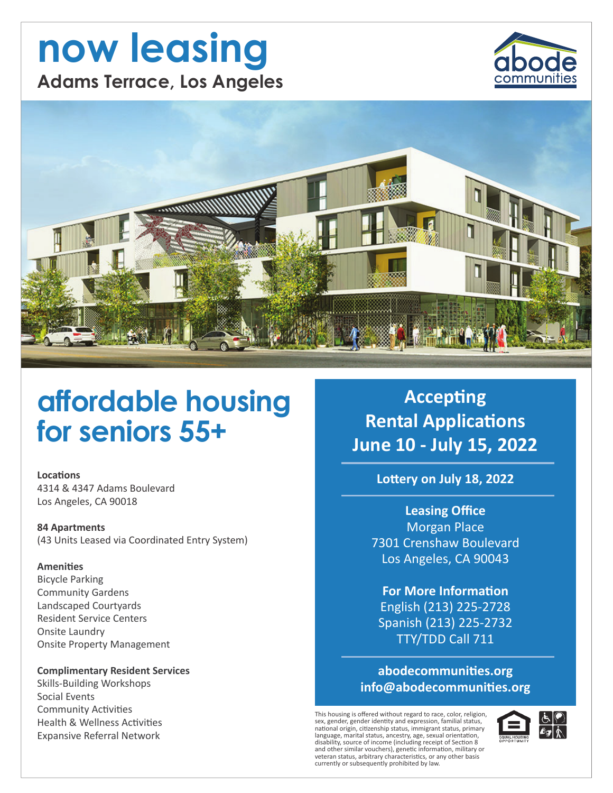# now leasing **Adams Terrace, Los Angeles**





## affordable housing for seniors 55+

**Locations** 

4314 & 4347 Adams Boulevard Los Angeles, CA 90018

**84 Apartments** (43 Units Leased via Coordinated Entry System)

#### **Amenities**

**Bicycle Parking Community Gardens** Landscaped Courtyards **Resident Service Centers** Onsite Laundry **Onsite Property Management** 

#### **Complimentary Resident Services**

**Skills-Building Workshops** Social Events **Community Activities Health & Wellness Activities Expansive Referral Network** 

**Accepting Rental Applications** June 10 - July 15, 2022

Lottery on July 18, 2022

**Leasing Office Morgan Place** 7301 Crenshaw Boulevard Los Angeles, CA 90043

**For More Information** English (213) 225-2728 Spanish (213) 225-2732 TTY/TDD Call 711

abodecommunities.org info@abodecommunities.org

This housing is offered without regard to race, color, religion, sex, gender, gender identity and expression, familial status, national origin, citizenship status, immigrant status, primary<br>language, marital status, ancestry, age, sexual orientation, alignates, maintain status, antesting (including receipt of Section 8<br>and other similar vouchers), genetic information, military or<br>veteran status, arbitrary characteristics, or any other basis currently or subsequently prohibited by law.